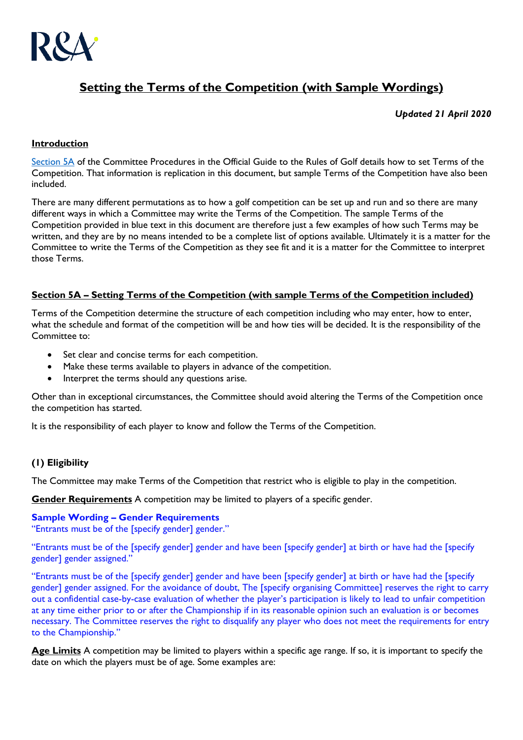

# **Setting the Terms of the Competition (with Sample Wordings)**

# *Updated 21 April 2020*

## **Introduction**

[Section 5A](https://www.randa.org/en/rog/2019/rules/committee-procedures/5a) of the Committee Procedures in the Official Guide to the Rules of Golf details how to set Terms of the Competition. That information is replication in this document, but sample Terms of the Competition have also been included.

There are many different permutations as to how a golf competition can be set up and run and so there are many different ways in which a Committee may write the Terms of the Competition. The sample Terms of the Competition provided in blue text in this document are therefore just a few examples of how such Terms may be written, and they are by no means intended to be a complete list of options available. Ultimately it is a matter for the Committee to write the Terms of the Competition as they see fit and it is a matter for the Committee to interpret those Terms.

# **Section 5A – Setting Terms of the Competition (with sample Terms of the Competition included)**

Terms of the Competition determine the structure of each competition including who may enter, how to enter, what the schedule and format of the competition will be and how ties will be decided. It is the responsibility of the Committee to:

- Set clear and concise terms for each competition.
- Make these terms available to players in advance of the competition.
- Interpret the terms should any questions arise.

Other than in exceptional circumstances, the Committee should avoid altering the Terms of the Competition once the competition has started.

It is the responsibility of each player to know and follow the Terms of the Competition.

# **(1) Eligibility**

The Committee may make Terms of the Competition that restrict who is eligible to play in the competition.

**Gender Requirements** A competition may be limited to players of a specific gender.

#### **Sample Wording – Gender Requirements**

"Entrants must be of the [specify gender] gender."

"Entrants must be of the [specify gender] gender and have been [specify gender] at birth or have had the [specify gender] gender assigned."

"Entrants must be of the [specify gender] gender and have been [specify gender] at birth or have had the [specify gender] gender assigned. For the avoidance of doubt, The [specify organising Committee] reserves the right to carry out a confidential case-by-case evaluation of whether the player's participation is likely to lead to unfair competition at any time either prior to or after the Championship if in its reasonable opinion such an evaluation is or becomes necessary. The Committee reserves the right to disqualify any player who does not meet the requirements for entry to the Championship."

**Age Limits** A competition may be limited to players within a specific age range. If so, it is important to specify the date on which the players must be of age. Some examples are: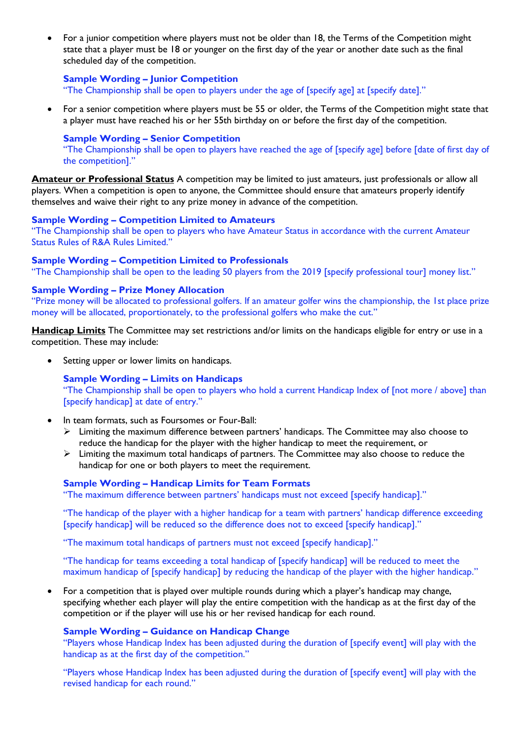• For a junior competition where players must not be older than 18, the Terms of the Competition might state that a player must be 18 or younger on the first day of the year or another date such as the final scheduled day of the competition.

### **Sample Wording – Junior Competition**

"The Championship shall be open to players under the age of [specify age] at [specify date]."

• For a senior competition where players must be 55 or older, the Terms of the Competition might state that a player must have reached his or her 55th birthday on or before the first day of the competition.

#### **Sample Wording – Senior Competition**

"The Championship shall be open to players have reached the age of [specify age] before [date of first day of the competition]."

**Amateur or Professional Status** A competition may be limited to just amateurs, just professionals or allow all players. When a competition is open to anyone, the Committee should ensure that amateurs properly identify themselves and waive their right to any prize money in advance of the competition.

#### **Sample Wording – Competition Limited to Amateurs**

"The Championship shall be open to players who have Amateur Status in accordance with the current Amateur Status Rules of R&A Rules Limited."

#### **Sample Wording – Competition Limited to Professionals**

"The Championship shall be open to the leading 50 players from the 2019 [specify professional tour] money list."

#### **Sample Wording – Prize Money Allocation**

"Prize money will be allocated to professional golfers. If an amateur golfer wins the championship, the 1st place prize money will be allocated, proportionately, to the professional golfers who make the cut."

**Handicap Limits** The Committee may set restrictions and/or limits on the handicaps eligible for entry or use in a competition. These may include:

• Setting upper or lower limits on handicaps.

# **Sample Wording – Limits on Handicaps**

"The Championship shall be open to players who hold a current Handicap Index of [not more / above] than [specify handicap] at date of entry."

- In team formats, such as Foursomes or Four-Ball:
	- $\triangleright$  Limiting the maximum difference between partners' handicaps. The Committee may also choose to reduce the handicap for the player with the higher handicap to meet the requirement, or
	- ➢ Limiting the maximum total handicaps of partners. The Committee may also choose to reduce the handicap for one or both players to meet the requirement.

#### **Sample Wording – Handicap Limits for Team Formats**

"The maximum difference between partners' handicaps must not exceed [specify handicap]."

"The handicap of the player with a higher handicap for a team with partners' handicap difference exceeding [specify handicap] will be reduced so the difference does not to exceed [specify handicap]."

"The maximum total handicaps of partners must not exceed [specify handicap]."

"The handicap for teams exceeding a total handicap of [specify handicap] will be reduced to meet the maximum handicap of [specify handicap] by reducing the handicap of the player with the higher handicap."

• For a competition that is played over multiple rounds during which a player's handicap may change, specifying whether each player will play the entire competition with the handicap as at the first day of the competition or if the player will use his or her revised handicap for each round.

#### **Sample Wording – Guidance on Handicap Change**

"Players whose Handicap Index has been adjusted during the duration of [specify event] will play with the handicap as at the first day of the competition."

"Players whose Handicap Index has been adjusted during the duration of [specify event] will play with the revised handicap for each round."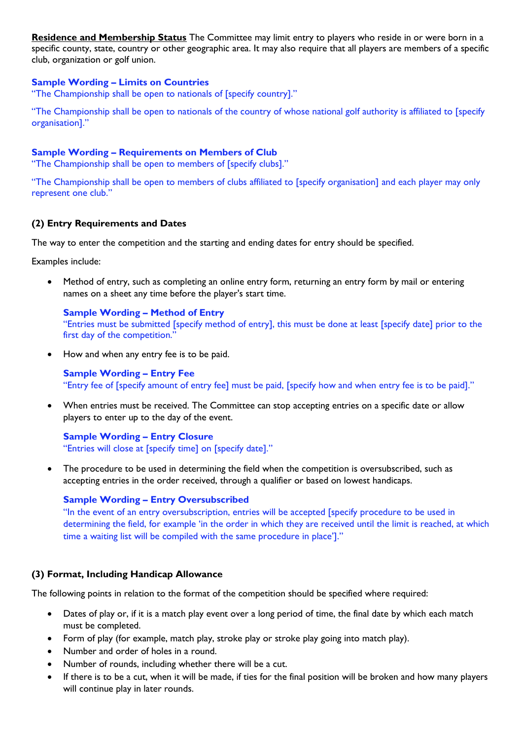**Residence and Membership Status** The Committee may limit entry to players who reside in or were born in a specific county, state, country or other geographic area. It may also require that all players are members of a specific club, organization or golf union.

# **Sample Wording – Limits on Countries**

"The Championship shall be open to nationals of [specify country]."

"The Championship shall be open to nationals of the country of whose national golf authority is affiliated to [specify organisation]."

### **Sample Wording – Requirements on Members of Club**

"The Championship shall be open to members of [specify clubs]."

"The Championship shall be open to members of clubs affiliated to [specify organisation] and each player may only represent one club."

### **(2) Entry Requirements and Dates**

The way to enter the competition and the starting and ending dates for entry should be specified.

Examples include:

• Method of entry, such as completing an online entry form, returning an entry form by mail or entering names on a sheet any time before the player's start time.

**Sample Wording – Method of Entry** "Entries must be submitted [specify method of entry], this must be done at least [specify date] prior to the first day of the competition."

• How and when any entry fee is to be paid.

**Sample Wording – Entry Fee** "Entry fee of [specify amount of entry fee] must be paid, [specify how and when entry fee is to be paid]."

• When entries must be received. The Committee can stop accepting entries on a specific date or allow players to enter up to the day of the event.

**Sample Wording – Entry Closure** "Entries will close at [specify time] on [specify date]."

• The procedure to be used in determining the field when the competition is oversubscribed, such as accepting entries in the order received, through a qualifier or based on lowest handicaps.

#### **Sample Wording – Entry Oversubscribed**

"In the event of an entry oversubscription, entries will be accepted [specify procedure to be used in determining the field, for example 'in the order in which they are received until the limit is reached, at which time a waiting list will be compiled with the same procedure in place']."

# **(3) Format, Including Handicap Allowance**

The following points in relation to the format of the competition should be specified where required:

- Dates of play or, if it is a match play event over a long period of time, the final date by which each match must be completed.
- Form of play (for example, match play, stroke play or stroke play going into match play).
- Number and order of holes in a round.
- Number of rounds, including whether there will be a cut.
- If there is to be a cut, when it will be made, if ties for the final position will be broken and how many players will continue play in later rounds.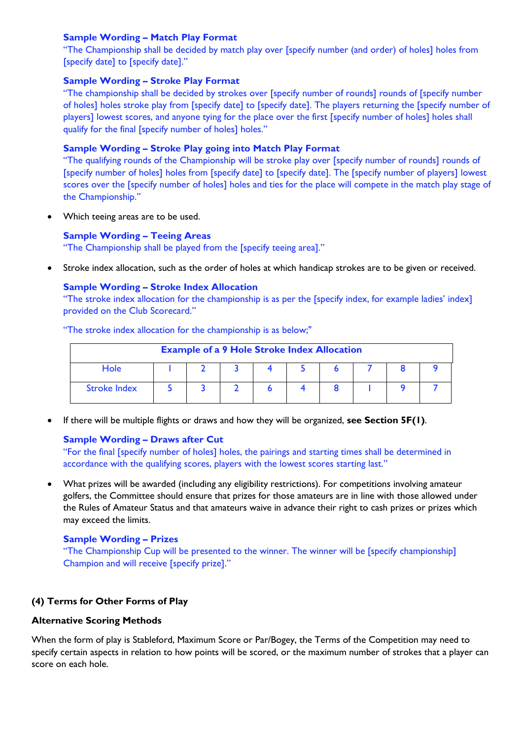# **Sample Wording – Match Play Format**

"The Championship shall be decided by match play over [specify number (and order) of holes] holes from [specify date] to [specify date]."

### **Sample Wording – Stroke Play Format**

"The championship shall be decided by strokes over [specify number of rounds] rounds of [specify number of holes] holes stroke play from [specify date] to [specify date]. The players returning the [specify number of players] lowest scores, and anyone tying for the place over the first [specify number of holes] holes shall qualify for the final [specify number of holes] holes."

### **Sample Wording – Stroke Play going into Match Play Format**

"The qualifying rounds of the Championship will be stroke play over [specify number of rounds] rounds of [specify number of holes] holes from [specify date] to [specify date]. The [specify number of players] lowest scores over the [specify number of holes] holes and ties for the place will compete in the match play stage of the Championship."

Which teeing areas are to be used.

### **Sample Wording – Teeing Areas**

"The Championship shall be played from the [specify teeing area]."

• Stroke index allocation, such as the order of holes at which handicap strokes are to be given or received.

# **Sample Wording – Stroke Index Allocation**

"The stroke index allocation for the championship is as per the [specify index, for example ladies' index] provided on the Club Scorecard."

"The stroke index allocation for the championship is as below;"

| <b>Example of a 9 Hole Stroke Index Allocation</b> |  |  |  |  |  |  |  |  |  |
|----------------------------------------------------|--|--|--|--|--|--|--|--|--|
| Hole                                               |  |  |  |  |  |  |  |  |  |
| <b>Stroke Index</b>                                |  |  |  |  |  |  |  |  |  |

• If there will be multiple flights or draws and how they will be organized, **see Section 5F(1)**.

# **Sample Wording – Draws after Cut**

"For the final [specify number of holes] holes, the pairings and starting times shall be determined in accordance with the qualifying scores, players with the lowest scores starting last."

• What prizes will be awarded (including any eligibility restrictions). For competitions involving amateur golfers, the Committee should ensure that prizes for those amateurs are in line with those allowed under the Rules of Amateur Status and that amateurs waive in advance their right to cash prizes or prizes which may exceed the limits.

#### **Sample Wording – Prizes**

"The Championship Cup will be presented to the winner. The winner will be [specify championship] Champion and will receive [specify prize]."

# **(4) Terms for Other Forms of Play**

### **Alternative Scoring Methods**

When the form of play is Stableford, Maximum Score or Par/Bogey, the Terms of the Competition may need to specify certain aspects in relation to how points will be scored, or the maximum number of strokes that a player can score on each hole.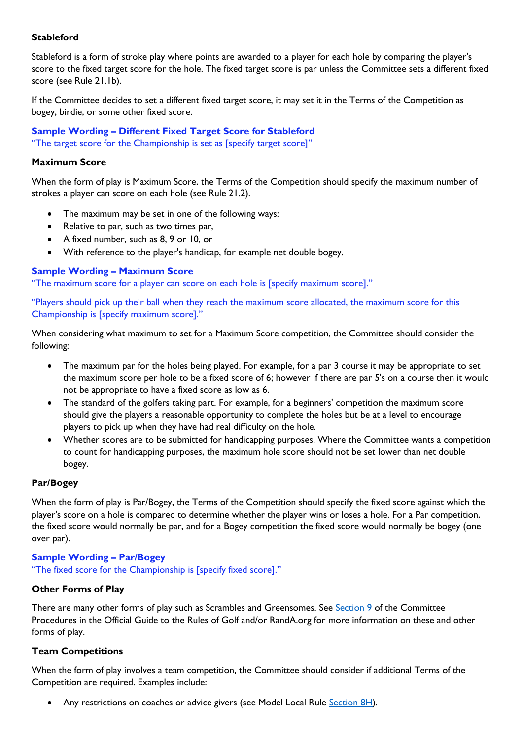# **Stableford**

Stableford is a form of stroke play where points are awarded to a player for each hole by comparing the player's score to the fixed target score for the hole. The fixed target score is par unless the Committee sets a different fixed score (see Rule 21.1b).

If the Committee decides to set a different fixed target score, it may set it in the Terms of the Competition as bogey, birdie, or some other fixed score.

**Sample Wording – Different Fixed Target Score for Stableford** "The target score for the Championship is set as [specify target score]"

# **Maximum Score**

When the form of play is Maximum Score, the Terms of the Competition should specify the maximum number of strokes a player can score on each hole (see Rule 21.2).

- The maximum may be set in one of the following ways:
- Relative to par, such as two times par,
- A fixed number, such as 8, 9 or 10, or
- With reference to the player's handicap, for example net double bogey.

### **Sample Wording – Maximum Score**

"The maximum score for a player can score on each hole is [specify maximum score]."

"Players should pick up their ball when they reach the maximum score allocated, the maximum score for this Championship is [specify maximum score]."

When considering what maximum to set for a Maximum Score competition, the Committee should consider the following:

- The maximum par for the holes being played. For example, for a par 3 course it may be appropriate to set the maximum score per hole to be a fixed score of 6; however if there are par 5's on a course then it would not be appropriate to have a fixed score as low as 6.
- The standard of the golfers taking part. For example, for a beginners' competition the maximum score should give the players a reasonable opportunity to complete the holes but be at a level to encourage players to pick up when they have had real difficulty on the hole.
- Whether scores are to be submitted for handicapping purposes. Where the Committee wants a competition to count for handicapping purposes, the maximum hole score should not be set lower than net double bogey.

# **Par/Bogey**

When the form of play is Par/Bogey, the Terms of the Competition should specify the fixed score against which the player's score on a hole is compared to determine whether the player wins or loses a hole. For a Par competition, the fixed score would normally be par, and for a Bogey competition the fixed score would normally be bogey (one over par).

#### **Sample Wording – Par/Bogey**

"The fixed score for the Championship is [specify fixed score]."

#### **Other Forms of Play**

There are many other forms of play such as Scrambles and Greensomes. See [Section 9](https://www.randa.org/en/rog/2019/rules/committee-procedures/section-9) of the Committee Procedures in the Official Guide to the Rules of Golf and/or RandA.org for more information on these and other forms of play.

#### **Team Competitions**

When the form of play involves a team competition, the Committee should consider if additional Terms of the Competition are required. Examples include:

Any restrictions on coaches or advice givers (see Model Local Rule [Section 8H\)](https://www.randa.org/en/rog/2019/rules/committee-procedures/8h).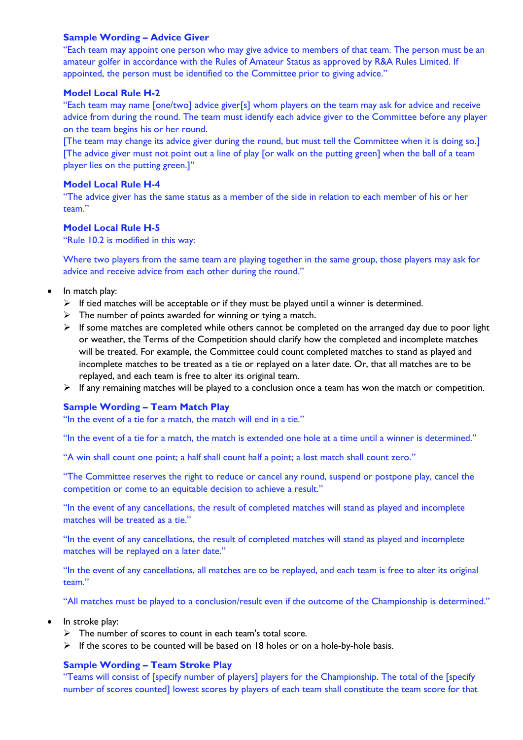### **Sample Wording – Advice Giver**

"Each team may appoint one person who may give advice to members of that team. The person must be an amateur golfer in accordance with the Rules of Amateur Status as approved by R&A Rules Limited. If appointed, the person must be identified to the Committee prior to giving advice."

### **Model Local Rule H-2**

"Each team may name [one/two] advice giver[s] whom players on the team may ask for advice and receive advice from during the round. The team must identify each advice giver to the Committee before any player on the team begins his or her round.

[The team may change its advice giver during the round, but must tell the Committee when it is doing so.] [The advice giver must not point out a line of play [or walk on the putting green] when the ball of a team player lies on the putting green.]"

### **Model Local Rule H-4**

"The advice giver has the same status as a member of the side in relation to each member of his or her team."

# **Model Local Rule H-5**

"Rule 10.2 is modified in this way:

Where two players from the same team are playing together in the same group, those players may ask for advice and receive advice from each other during the round."

- In match play:
	- $\triangleright$  If tied matches will be acceptable or if they must be played until a winner is determined.
	- $\triangleright$  The number of points awarded for winning or tying a match.
	- $\triangleright$  If some matches are completed while others cannot be completed on the arranged day due to poor light or weather, the Terms of the Competition should clarify how the completed and incomplete matches will be treated. For example, the Committee could count completed matches to stand as played and incomplete matches to be treated as a tie or replayed on a later date. Or, that all matches are to be replayed, and each team is free to alter its original team.
	- $\triangleright$  If any remaining matches will be played to a conclusion once a team has won the match or competition.

# **Sample Wording – Team Match Play**

"In the event of a tie for a match, the match will end in a tie."

"In the event of a tie for a match, the match is extended one hole at a time until a winner is determined."

"A win shall count one point; a half shall count half a point; a lost match shall count zero."

"The Committee reserves the right to reduce or cancel any round, suspend or postpone play, cancel the competition or come to an equitable decision to achieve a result."

"In the event of any cancellations, the result of completed matches will stand as played and incomplete matches will be treated as a tie."

"In the event of any cancellations, the result of completed matches will stand as played and incomplete matches will be replayed on a later date."

"In the event of any cancellations, all matches are to be replayed, and each team is free to alter its original team."

"All matches must be played to a conclusion/result even if the outcome of the Championship is determined."

- In stroke play:
	- $\triangleright$  The number of scores to count in each team's total score.
	- $\triangleright$  If the scores to be counted will be based on 18 holes or on a hole-by-hole basis.

# **Sample Wording – Team Stroke Play**

"Teams will consist of [specify number of players] players for the Championship. The total of the [specify number of scores counted] lowest scores by players of each team shall constitute the team score for that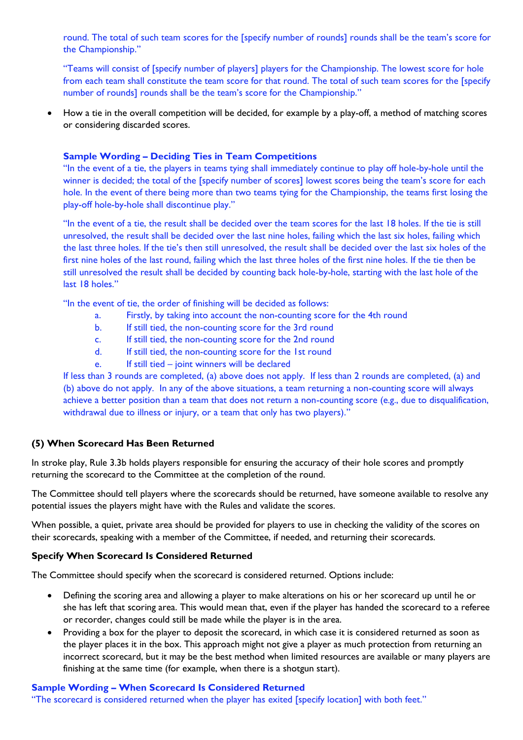round. The total of such team scores for the [specify number of rounds] rounds shall be the team's score for the Championship."

"Teams will consist of [specify number of players] players for the Championship. The lowest score for hole from each team shall constitute the team score for that round. The total of such team scores for the [specify number of rounds] rounds shall be the team's score for the Championship."

• How a tie in the overall competition will be decided, for example by a play-off, a method of matching scores or considering discarded scores.

### **Sample Wording – Deciding Ties in Team Competitions**

"In the event of a tie, the players in teams tying shall immediately continue to play off hole-by-hole until the winner is decided; the total of the [specify number of scores] lowest scores being the team's score for each hole. In the event of there being more than two teams tying for the Championship, the teams first losing the play-off hole-by-hole shall discontinue play."

"In the event of a tie, the result shall be decided over the team scores for the last 18 holes. If the tie is still unresolved, the result shall be decided over the last nine holes, failing which the last six holes, failing which the last three holes. If the tie's then still unresolved, the result shall be decided over the last six holes of the first nine holes of the last round, failing which the last three holes of the first nine holes. If the tie then be still unresolved the result shall be decided by counting back hole-by-hole, starting with the last hole of the last 18 holes."

"In the event of tie, the order of finishing will be decided as follows:

- a. Firstly, by taking into account the non-counting score for the 4th round
- b. If still tied, the non-counting score for the 3rd round
- c. If still tied, the non-counting score for the 2nd round
- d. If still tied, the non-counting score for the 1st round
- e. If still tied joint winners will be declared

If less than 3 rounds are completed, (a) above does not apply. If less than 2 rounds are completed, (a) and (b) above do not apply. In any of the above situations, a team returning a non-counting score will always achieve a better position than a team that does not return a non-counting score (e.g., due to disqualification, withdrawal due to illness or injury, or a team that only has two players)."

#### **(5) When Scorecard Has Been Returned**

In stroke play, Rule 3.3b holds players responsible for ensuring the accuracy of their hole scores and promptly returning the scorecard to the Committee at the completion of the round.

The Committee should tell players where the scorecards should be returned, have someone available to resolve any potential issues the players might have with the Rules and validate the scores.

When possible, a quiet, private area should be provided for players to use in checking the validity of the scores on their scorecards, speaking with a member of the Committee, if needed, and returning their scorecards.

### **Specify When Scorecard Is Considered Returned**

The Committee should specify when the scorecard is considered returned. Options include:

- Defining the scoring area and allowing a player to make alterations on his or her scorecard up until he or she has left that scoring area. This would mean that, even if the player has handed the scorecard to a referee or recorder, changes could still be made while the player is in the area.
- Providing a box for the player to deposit the scorecard, in which case it is considered returned as soon as the player places it in the box. This approach might not give a player as much protection from returning an incorrect scorecard, but it may be the best method when limited resources are available or many players are finishing at the same time (for example, when there is a shotgun start).

### **Sample Wording – When Scorecard Is Considered Returned**

"The scorecard is considered returned when the player has exited [specify location] with both feet."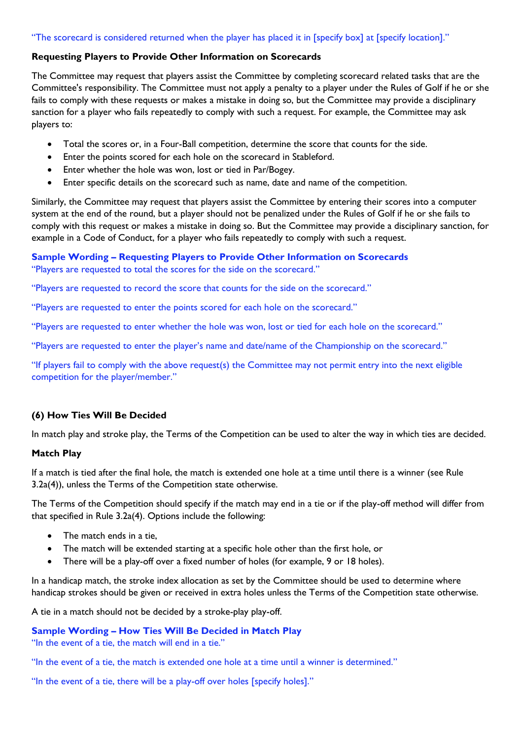# "The scorecard is considered returned when the player has placed it in [specify box] at [specify location]."

### **Requesting Players to Provide Other Information on Scorecards**

The Committee may request that players assist the Committee by completing scorecard related tasks that are the Committee's responsibility. The Committee must not apply a penalty to a player under the Rules of Golf if he or she fails to comply with these requests or makes a mistake in doing so, but the Committee may provide a disciplinary sanction for a player who fails repeatedly to comply with such a request. For example, the Committee may ask players to:

- Total the scores or, in a Four-Ball competition, determine the score that counts for the side.
- Enter the points scored for each hole on the scorecard in Stableford.
- Enter whether the hole was won, lost or tied in Par/Bogey.
- Enter specific details on the scorecard such as name, date and name of the competition.

Similarly, the Committee may request that players assist the Committee by entering their scores into a computer system at the end of the round, but a player should not be penalized under the Rules of Golf if he or she fails to comply with this request or makes a mistake in doing so. But the Committee may provide a disciplinary sanction, for example in a Code of Conduct, for a player who fails repeatedly to comply with such a request.

# **Sample Wording – Requesting Players to Provide Other Information on Scorecards**

"Players are requested to total the scores for the side on the scorecard."

"Players are requested to record the score that counts for the side on the scorecard."

"Players are requested to enter the points scored for each hole on the scorecard."

"Players are requested to enter whether the hole was won, lost or tied for each hole on the scorecard."

"Players are requested to enter the player's name and date/name of the Championship on the scorecard."

"If players fail to comply with the above request(s) the Committee may not permit entry into the next eligible competition for the player/member."

# **(6) How Ties Will Be Decided**

In match play and stroke play, the Terms of the Competition can be used to alter the way in which ties are decided.

#### **Match Play**

If a match is tied after the final hole, the match is extended one hole at a time until there is a winner (see Rule 3.2a(4)), unless the Terms of the Competition state otherwise.

The Terms of the Competition should specify if the match may end in a tie or if the play-off method will differ from that specified in Rule 3.2a(4). Options include the following:

- The match ends in a tie.
- The match will be extended starting at a specific hole other than the first hole, or
- There will be a play-off over a fixed number of holes (for example, 9 or 18 holes).

In a handicap match, the stroke index allocation as set by the Committee should be used to determine where handicap strokes should be given or received in extra holes unless the Terms of the Competition state otherwise.

A tie in a match should not be decided by a stroke-play play-off.

# **Sample Wording – How Ties Will Be Decided in Match Play**

"In the event of a tie, the match will end in a tie."

"In the event of a tie, the match is extended one hole at a time until a winner is determined."

"In the event of a tie, there will be a play-off over holes [specify holes]."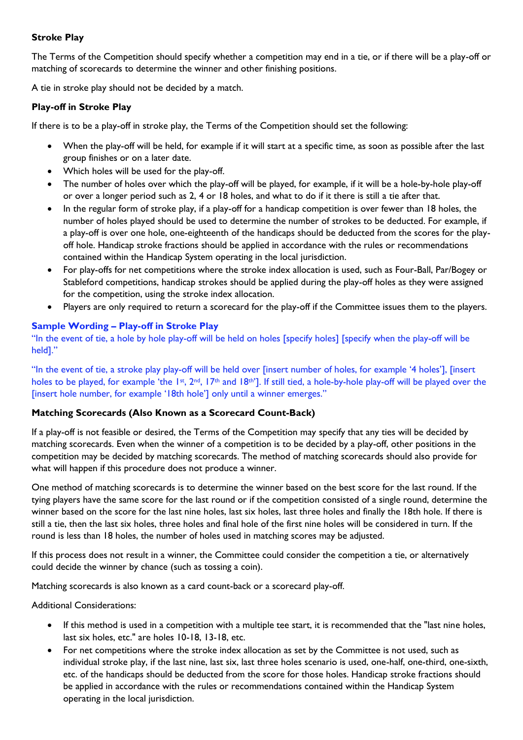# **Stroke Play**

The Terms of the Competition should specify whether a competition may end in a tie, or if there will be a play-off or matching of scorecards to determine the winner and other finishing positions.

A tie in stroke play should not be decided by a match.

# **Play-off in Stroke Play**

If there is to be a play-off in stroke play, the Terms of the Competition should set the following:

- When the play-off will be held, for example if it will start at a specific time, as soon as possible after the last group finishes or on a later date.
- Which holes will be used for the play-off.
- The number of holes over which the play-off will be played, for example, if it will be a hole-by-hole play-off or over a longer period such as 2, 4 or 18 holes, and what to do if it there is still a tie after that.
- In the regular form of stroke play, if a play-off for a handicap competition is over fewer than 18 holes, the number of holes played should be used to determine the number of strokes to be deducted. For example, if a play-off is over one hole, one-eighteenth of the handicaps should be deducted from the scores for the playoff hole. Handicap stroke fractions should be applied in accordance with the rules or recommendations contained within the Handicap System operating in the local jurisdiction.
- For play-offs for net competitions where the stroke index allocation is used, such as Four-Ball, Par/Bogey or Stableford competitions, handicap strokes should be applied during the play-off holes as they were assigned for the competition, using the stroke index allocation.
- Players are only required to return a scorecard for the play-off if the Committee issues them to the players.

### **Sample Wording – Play-off in Stroke Play**

"In the event of tie, a hole by hole play-off will be held on holes [specify holes] [specify when the play-off will be held]."

"In the event of tie, a stroke play play-off will be held over [insert number of holes, for example '4 holes'], [insert holes to be played, for example 'the 1st, 2nd, 17th and 18th']. If still tied, a hole-by-hole play-off will be played over the [insert hole number, for example '18th hole'] only until a winner emerges."

# **Matching Scorecards (Also Known as a Scorecard Count-Back)**

If a play-off is not feasible or desired, the Terms of the Competition may specify that any ties will be decided by matching scorecards. Even when the winner of a competition is to be decided by a play-off, other positions in the competition may be decided by matching scorecards. The method of matching scorecards should also provide for what will happen if this procedure does not produce a winner.

One method of matching scorecards is to determine the winner based on the best score for the last round. If the tying players have the same score for the last round or if the competition consisted of a single round, determine the winner based on the score for the last nine holes, last six holes, last three holes and finally the 18th hole. If there is still a tie, then the last six holes, three holes and final hole of the first nine holes will be considered in turn. If the round is less than 18 holes, the number of holes used in matching scores may be adjusted.

If this process does not result in a winner, the Committee could consider the competition a tie, or alternatively could decide the winner by chance (such as tossing a coin).

Matching scorecards is also known as a card count-back or a scorecard play-off.

Additional Considerations:

- If this method is used in a competition with a multiple tee start, it is recommended that the "last nine holes, last six holes, etc." are holes 10-18, 13-18, etc.
- For net competitions where the stroke index allocation as set by the Committee is not used, such as individual stroke play, if the last nine, last six, last three holes scenario is used, one-half, one-third, one-sixth, etc. of the handicaps should be deducted from the score for those holes. Handicap stroke fractions should be applied in accordance with the rules or recommendations contained within the Handicap System operating in the local jurisdiction.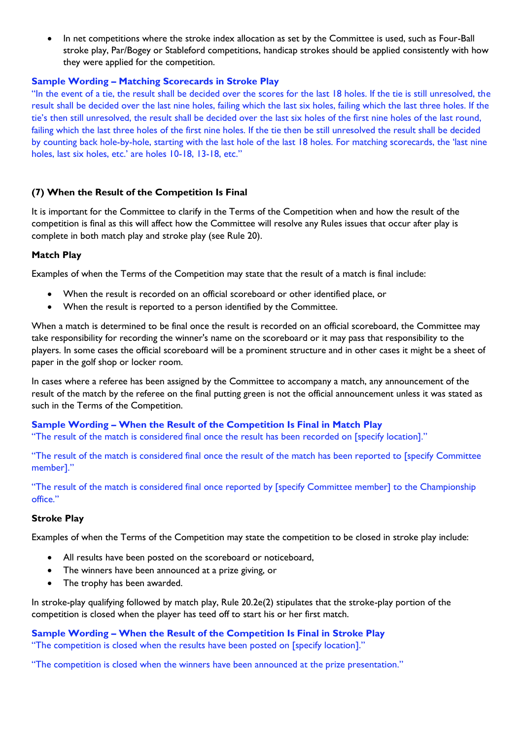• In net competitions where the stroke index allocation as set by the Committee is used, such as Four-Ball stroke play, Par/Bogey or Stableford competitions, handicap strokes should be applied consistently with how they were applied for the competition.

### **Sample Wording – Matching Scorecards in Stroke Play**

"In the event of a tie, the result shall be decided over the scores for the last 18 holes. If the tie is still unresolved, the result shall be decided over the last nine holes, failing which the last six holes, failing which the last three holes. If the tie's then still unresolved, the result shall be decided over the last six holes of the first nine holes of the last round, failing which the last three holes of the first nine holes. If the tie then be still unresolved the result shall be decided by counting back hole-by-hole, starting with the last hole of the last 18 holes. For matching scorecards, the 'last nine holes, last six holes, etc.' are holes 10-18, 13-18, etc."

# **(7) When the Result of the Competition Is Final**

It is important for the Committee to clarify in the Terms of the Competition when and how the result of the competition is final as this will affect how the Committee will resolve any Rules issues that occur after play is complete in both match play and stroke play (see Rule 20).

#### **Match Play**

Examples of when the Terms of the Competition may state that the result of a match is final include:

- When the result is recorded on an official scoreboard or other identified place, or
- When the result is reported to a person identified by the Committee.

When a match is determined to be final once the result is recorded on an official scoreboard, the Committee may take responsibility for recording the winner's name on the scoreboard or it may pass that responsibility to the players. In some cases the official scoreboard will be a prominent structure and in other cases it might be a sheet of paper in the golf shop or locker room.

In cases where a referee has been assigned by the Committee to accompany a match, any announcement of the result of the match by the referee on the final putting green is not the official announcement unless it was stated as such in the Terms of the Competition.

# **Sample Wording – When the Result of the Competition Is Final in Match Play**

"The result of the match is considered final once the result has been recorded on [specify location]."

"The result of the match is considered final once the result of the match has been reported to [specify Committee member]."

"The result of the match is considered final once reported by [specify Committee member] to the Championship office."

#### **Stroke Play**

Examples of when the Terms of the Competition may state the competition to be closed in stroke play include:

- All results have been posted on the scoreboard or noticeboard,
- The winners have been announced at a prize giving, or
- The trophy has been awarded.

In stroke-play qualifying followed by match play, Rule 20.2e(2) stipulates that the stroke-play portion of the competition is closed when the player has teed off to start his or her first match.

**Sample Wording – When the Result of the Competition Is Final in Stroke Play** "The competition is closed when the results have been posted on [specify location]."

"The competition is closed when the winners have been announced at the prize presentation."